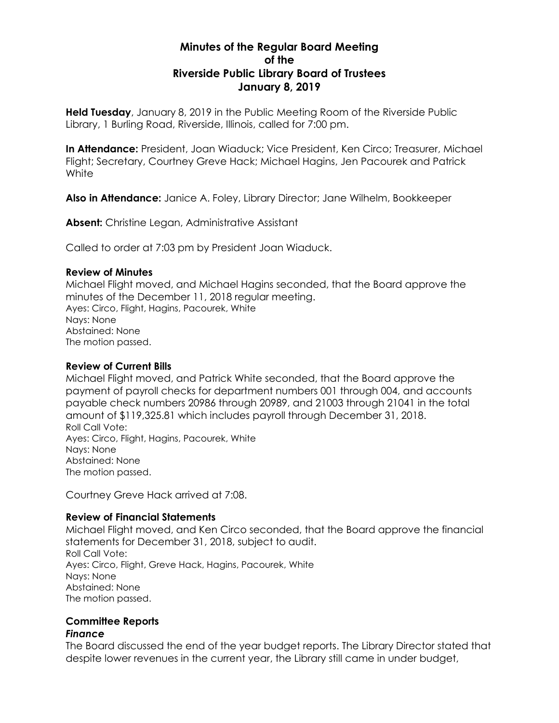# **Minutes of the Regular Board Meeting of the Riverside Public Library Board of Trustees January 8, 2019**

**Held Tuesday**, January 8, 2019 in the Public Meeting Room of the Riverside Public Library, 1 Burling Road, Riverside, Illinois, called for 7:00 pm.

**In Attendance:** President, Joan Wiaduck; Vice President, Ken Circo; Treasurer, Michael Flight; Secretary, Courtney Greve Hack; Michael Hagins, Jen Pacourek and Patrick **White** 

**Also in Attendance:** Janice A. Foley, Library Director; Jane Wilhelm, Bookkeeper

**Absent:** Christine Legan, Administrative Assistant

Called to order at 7:03 pm by President Joan Wiaduck.

#### **Review of Minutes**

Michael Flight moved, and Michael Hagins seconded, that the Board approve the minutes of the December 11, 2018 regular meeting. Ayes: Circo, Flight, Hagins, Pacourek, White Nays: None Abstained: None The motion passed.

#### **Review of Current Bills**

Michael Flight moved, and Patrick White seconded, that the Board approve the payment of payroll checks for department numbers 001 through 004, and accounts payable check numbers 20986 through 20989, and 21003 through 21041 in the total amount of \$119,325.81 which includes payroll through December 31, 2018. Roll Call Vote: Ayes: Circo, Flight, Hagins, Pacourek, White Nays: None Abstained: None The motion passed.

Courtney Greve Hack arrived at 7:08.

### **Review of Financial Statements**

Michael Flight moved, and Ken Circo seconded, that the Board approve the financial statements for December 31, 2018, subject to audit. Roll Call Vote: Ayes: Circo, Flight, Greve Hack, Hagins, Pacourek, White Nays: None Abstained: None The motion passed.

#### **Committee Reports** *Finance*

The Board discussed the end of the year budget reports. The Library Director stated that despite lower revenues in the current year, the Library still came in under budget,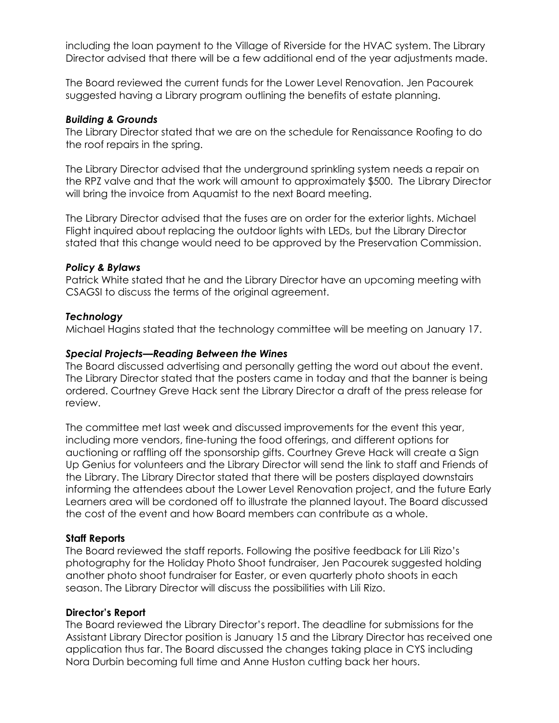including the loan payment to the Village of Riverside for the HVAC system. The Library Director advised that there will be a few additional end of the year adjustments made.

The Board reviewed the current funds for the Lower Level Renovation. Jen Pacourek suggested having a Library program outlining the benefits of estate planning.

### *Building & Grounds*

The Library Director stated that we are on the schedule for Renaissance Roofing to do the roof repairs in the spring.

The Library Director advised that the underground sprinkling system needs a repair on the RPZ valve and that the work will amount to approximately \$500. The Library Director will bring the invoice from Aquamist to the next Board meeting.

The Library Director advised that the fuses are on order for the exterior lights. Michael Flight inquired about replacing the outdoor lights with LEDs, but the Library Director stated that this change would need to be approved by the Preservation Commission.

## *Policy & Bylaws*

Patrick White stated that he and the Library Director have an upcoming meeting with CSAGSI to discuss the terms of the original agreement.

## *Technology*

Michael Hagins stated that the technology committee will be meeting on January 17.

## *Special Projects—Reading Between the Wines*

The Board discussed advertising and personally getting the word out about the event. The Library Director stated that the posters came in today and that the banner is being ordered. Courtney Greve Hack sent the Library Director a draft of the press release for review.

The committee met last week and discussed improvements for the event this year, including more vendors, fine-tuning the food offerings, and different options for auctioning or raffling off the sponsorship gifts. Courtney Greve Hack will create a Sign Up Genius for volunteers and the Library Director will send the link to staff and Friends of the Library. The Library Director stated that there will be posters displayed downstairs informing the attendees about the Lower Level Renovation project, and the future Early Learners area will be cordoned off to illustrate the planned layout. The Board discussed the cost of the event and how Board members can contribute as a whole.

### **Staff Reports**

The Board reviewed the staff reports. Following the positive feedback for Lili Rizo's photography for the Holiday Photo Shoot fundraiser, Jen Pacourek suggested holding another photo shoot fundraiser for Easter, or even quarterly photo shoots in each season. The Library Director will discuss the possibilities with Lili Rizo.

### **Director's Report**

The Board reviewed the Library Director's report. The deadline for submissions for the Assistant Library Director position is January 15 and the Library Director has received one application thus far. The Board discussed the changes taking place in CYS including Nora Durbin becoming full time and Anne Huston cutting back her hours.